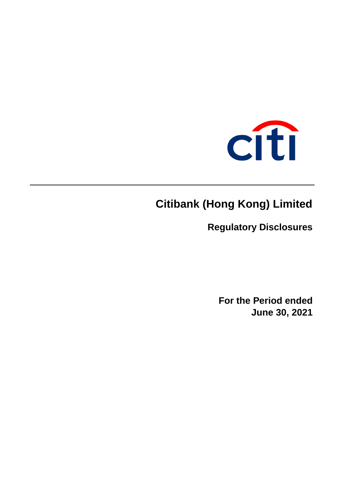

# **Citibank (Hong Kong) Limited**

**Regulatory Disclosures**

**For the Period ended June 30, 2021**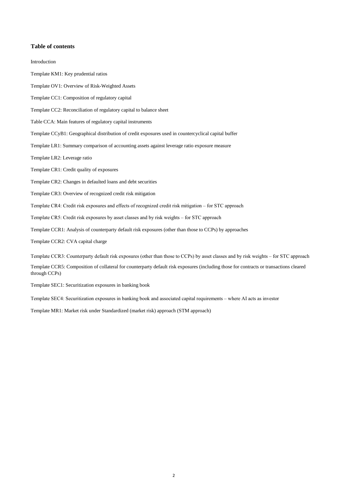## **Table of contents**

| Introduction                                                                                                                                             |
|----------------------------------------------------------------------------------------------------------------------------------------------------------|
| Template KM1: Key prudential ratios                                                                                                                      |
| Template OV1: Overview of Risk-Weighted Assets                                                                                                           |
| Template CC1: Composition of regulatory capital                                                                                                          |
| Template CC2: Reconciliation of regulatory capital to balance sheet                                                                                      |
| Table CCA: Main features of regulatory capital instruments                                                                                               |
| Template CCyB1: Geographical distribution of credit exposures used in countercyclical capital buffer                                                     |
| Template LR1: Summary comparison of accounting assets against leverage ratio exposure measure                                                            |
| Template LR2: Leverage ratio                                                                                                                             |
| Template CR1: Credit quality of exposures                                                                                                                |
| Template CR2: Changes in defaulted loans and debt securities                                                                                             |
| Template CR3: Overview of recognized credit risk mitigation                                                                                              |
| Template CR4: Credit risk exposures and effects of recognized credit risk mitigation – for STC approach                                                  |
| Template CR5: Credit risk exposures by asset classes and by risk weights – for STC approach                                                              |
| Template CCR1: Analysis of counterparty default risk exposures (other than those to CCPs) by approaches                                                  |
| Template CCR2: CVA capital charge                                                                                                                        |
| Template CCR3: Counterparty default risk exposures (other than those to CCPs) by asset classes and by risk weights – for STC approach                    |
| Template CCR5: Composition of collateral for counterparty default risk exposures (including those for contracts or transactions cleared<br>through CCPs) |

Template SEC1: Securitization exposures in banking book

Template SEC4: Securitization exposures in banking book and associated capital requirements – where AI acts as investor

Template MR1: Market risk under Standardized (market risk) approach (STM approach)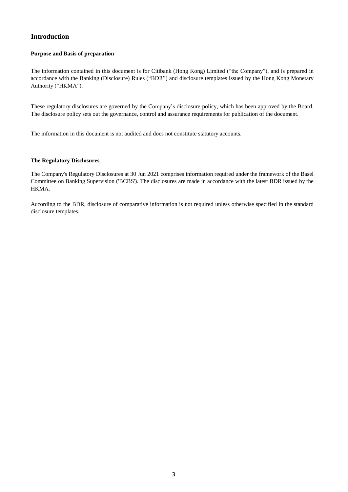# **Introduction**

## **Purpose and Basis of preparation**

The information contained in this document is for Citibank (Hong Kong) Limited ("the Company"), and is prepared in accordance with the Banking (Disclosure) Rules ("BDR") and disclosure templates issued by the Hong Kong Monetary Authority ("HKMA").

These regulatory disclosures are governed by the Company's disclosure policy, which has been approved by the Board. The disclosure policy sets out the governance, control and assurance requirements for publication of the document.

The information in this document is not audited and does not constitute statutory accounts.

### **The Regulatory Disclosures**

The Company's Regulatory Disclosures at 30 Jun 2021 comprises information required under the framework of the Basel Committee on Banking Supervision ('BCBS'). The disclosures are made in accordance with the latest BDR issued by the HKMA.

According to the BDR, disclosure of comparative information is not required unless otherwise specified in the standard disclosure templates.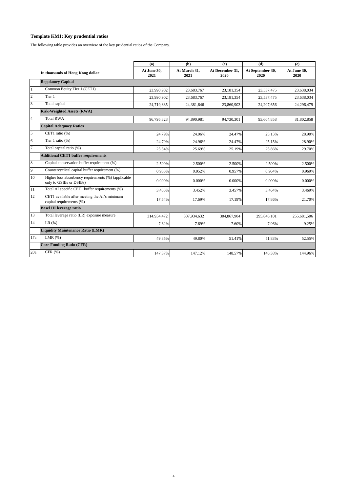## **Template KM1: Key prudential ratios**

The following table provides an overview of the key prudential ratios of the Company.

|                |                                                                                | (a)                 | (b)                  | $\left( \mathbf{c} \right)$ | (d)                      | (e)                 |
|----------------|--------------------------------------------------------------------------------|---------------------|----------------------|-----------------------------|--------------------------|---------------------|
|                | In thousands of Hong Kong dollar                                               | At June 30,<br>2021 | At March 31,<br>2021 | At December 31,<br>2020     | At September 30,<br>2020 | At June 30,<br>2020 |
|                | <b>Regulatory Capital</b>                                                      |                     |                      |                             |                          |                     |
| $\mathbf{1}$   | Common Equity Tier 1 (CET1)                                                    | 23,990,902          | 23,683,767           | 23,181,354                  | 23,537,475               | 23,638,034          |
| $\overline{c}$ | Tier 1                                                                         | 23.990.902          | 23.683.767           | 23.181.354                  | 23.537.475               | 23,638,034          |
| 3              | Total capital                                                                  | 24,719,835          | 24.381.646           | 23,860,903                  | 24,207,656               | 24,296,479          |
|                | <b>Risk-Weighted Assets (RWA)</b>                                              |                     |                      |                             |                          |                     |
| $\overline{4}$ | <b>Total RWA</b>                                                               | 96,795,323          | 94.890.981           | 94,730,301                  | 93,604,858               | 81,802,858          |
|                | <b>Capital Adequacy Ratios</b>                                                 |                     |                      |                             |                          |                     |
| 5              | CET1 ratio (%)                                                                 | 24.79%              | 24.96%               | 24.47%                      | 25.15%                   | 28.90%              |
| 6              | Tier 1 ratio (%)                                                               | 24.79%              | 24.96%               | 24.47%                      | 25.15%                   | 28.90%              |
| $\overline{7}$ | Total capital ratio (%)                                                        | 25.54%              | 25.69%               | 25.19%                      | 25.86%                   | 29.70%              |
|                | <b>Additional CET1 buffer requirements</b>                                     |                     |                      |                             |                          |                     |
| 8              | Capital conservation buffer requirement (%)                                    | 2.500%              | 2.500%               | 2.500%                      | 2.500%                   | 2.500%              |
| 9              | Countercyclical capital buffer requirement (%)                                 | 0.955%              | 0.952%               | 0.957%                      | 0.964%                   | 0.969%              |
| 10             | Higher loss absorbency requirements (%) (applicable<br>only to GSIBs or DSIBs) | 0.000%              | 0.000%               | 0.000%                      | 0.000%                   | 0.000%              |
| 11             | Total AI specific CET1 buffer requirements (%)                                 | 3.455%              | 3.452%               | 3.457%                      | 3.464%                   | 3.469%              |
| 12             | CET1 available after meeting the AI's minimum<br>capital requirements (%)      | 17.54%              | 17.69%               | 17.19%                      | 17.86%                   | 21.70%              |
|                | <b>Basel III leverage ratio</b>                                                |                     |                      |                             |                          |                     |
| 13             | Total leverage ratio (LR) exposure measure                                     | 314,954,472         | 307,934,632          | 304,867,904                 | 295,846,101              | 255,681,506         |
| 14             | LR(%)                                                                          | 7.62%               | 7.69%                | 7.60%                       | 7.96%                    | 9.25%               |
|                | <b>Liquidity Maintenance Ratio (LMR)</b>                                       |                     |                      |                             |                          |                     |
| 17a            | LMR $(%)$                                                                      | 49.85%              | 49.80%               | 51.41%                      | 51.83%                   | 52.55%              |
|                | <b>Core Funding Ratio (CFR)</b>                                                |                     |                      |                             |                          |                     |
| 20a            | CFR(%)                                                                         | 147.37%             | 147.12%              | 148.57%                     | 146.38%                  | 144.96%             |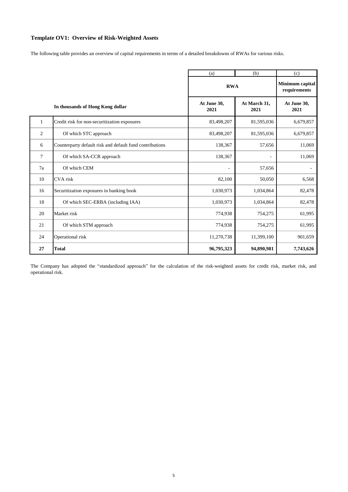## **Template OV1: Overview of Risk-Weighted Assets**

The following table provides an overview of capital requirements in terms of a detailed breakdowns of RWAs for various risks.

|              |                                                          | (a)                 | (b)                  | (c)                             |
|--------------|----------------------------------------------------------|---------------------|----------------------|---------------------------------|
|              |                                                          | <b>RWA</b>          |                      | Minimum capital<br>requirements |
|              | In thousands of Hong Kong dollar                         | At June 30,<br>2021 | At March 31,<br>2021 | At June 30,<br>2021             |
| $\mathbf{1}$ | Credit risk for non-securitization exposures             | 83,498,207          | 81,595,036           | 6,679,857                       |
| 2            | Of which STC approach                                    | 83,498,207          | 81,595,036           | 6,679,857                       |
| 6            | Counterparty default risk and default fund contributions | 138,367             | 57,656               | 11,069                          |
| 7            | Of which SA-CCR approach                                 | 138,367             |                      | 11,069                          |
| 7a           | Of which CEM                                             |                     | 57,656               |                                 |
| 10           | CVA risk                                                 | 82,100              | 50,050               | 6,568                           |
| 16           | Securitization exposures in banking book                 | 1,030,973           | 1,034,864            | 82,478                          |
| 18           | Of which SEC-ERBA (including IAA)                        | 1,030,973           | 1,034,864            | 82,478                          |
| 20           | Market risk                                              | 774,938             | 754,275              | 61,995                          |
| 21           | Of which STM approach                                    | 774,938             | 754,275              | 61,995                          |
| 24           | Operational risk                                         | 11,270,738          | 11,399,100           | 901,659                         |
| 27           | <b>Total</b>                                             | 96,795,323          | 94,890,981           | 7,743,626                       |

The Company has adopted the "standardized approach" for the calculation of the risk-weighted assets for credit risk, market risk, and operational risk.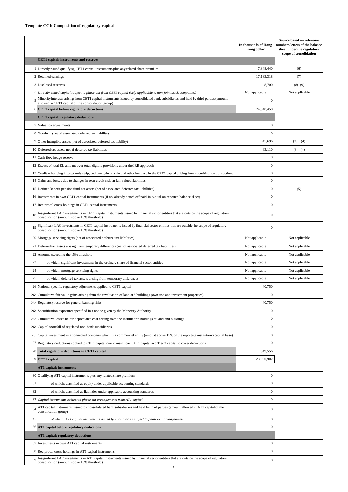## **Template CC1: Composition of regulatory capital**

|     |                                                                                                                                                                                            | In thousands of Hong<br>Kong dollar | Source based on reference<br>numbers/letters of the balance<br>sheet under the regulatory<br>scope of consolidation |
|-----|--------------------------------------------------------------------------------------------------------------------------------------------------------------------------------------------|-------------------------------------|---------------------------------------------------------------------------------------------------------------------|
|     | <b>CET1</b> capital: instruments and reserves                                                                                                                                              |                                     |                                                                                                                     |
|     | 1 Directly issued qualifying CET1 capital instruments plus any related share premium                                                                                                       | 7,348,440                           | (6)                                                                                                                 |
|     | 2 Retained earnings                                                                                                                                                                        | 17,183,318                          | (7)                                                                                                                 |
|     | 3 Disclosed reserves                                                                                                                                                                       | 8,700                               | $(8)+(9)$                                                                                                           |
| 4   | Directly issued capital subject to phase out from CET1 capital (only applicable to non-joint stock companies)                                                                              | Not applicable                      | Not applicable                                                                                                      |
|     | Minority interests arising from CET1 capital instruments issued by consolidated bank subsidiaries and held by third parties (amount<br>allowed in CET1 capital of the consolidation group) | $\Omega$                            |                                                                                                                     |
|     | CET1 capital before regulatory deductions                                                                                                                                                  | 24,540,458                          |                                                                                                                     |
|     | <b>CET1</b> capital: regulatory deductions                                                                                                                                                 |                                     |                                                                                                                     |
|     | 7 Valuation adjustments                                                                                                                                                                    | $\boldsymbol{0}$                    |                                                                                                                     |
|     | 8 Goodwill (net of associated deferred tax liability)                                                                                                                                      | $\boldsymbol{0}$                    |                                                                                                                     |
|     | 9 Other intangible assets (net of associated deferred tax liability)                                                                                                                       | 45,696                              | $(2)+(4)$                                                                                                           |
|     | 10 Deferred tax assets net of deferred tax liabilities                                                                                                                                     | 63,110                              | $(3) - (4)$                                                                                                         |
|     | 11 Cash flow hedge reserve                                                                                                                                                                 | $\mathbf{0}$                        |                                                                                                                     |
|     | 12 Excess of total EL amount over total eligible provisions under the IRB approach                                                                                                         | $\boldsymbol{0}$                    |                                                                                                                     |
|     | 13 Credit-enhancing interest only strip, and any gain on sale and other increase in the CET1 capital arising from securitization transactions                                              | $\boldsymbol{0}$                    |                                                                                                                     |
|     | 14 Gains and losses due to changes in own credit risk on fair valued liabilities                                                                                                           | $\boldsymbol{0}$                    |                                                                                                                     |
|     | 15 Defined benefit pension fund net assets (net of associated deferred tax liabilities)                                                                                                    | $\boldsymbol{0}$                    | (5)                                                                                                                 |
|     | 16 Investments in own CET1 capital instruments (if not already netted off paid-in capital on reported balance sheet)                                                                       | $\boldsymbol{0}$                    |                                                                                                                     |
|     | 17 Reciprocal cross-holdings in CET1 capital instruments                                                                                                                                   | $\boldsymbol{0}$                    |                                                                                                                     |
| 18  | Insignificant LAC investments in CET1 capital instruments issued by financial sector entities that are outside the scope of regulatory<br>consolidation (amount above 10% threshold)       | $\mathbf{0}$                        |                                                                                                                     |
| 19  | Significant LAC investments in CET1 capital instruments issued by financial sector entities that are outside the scope of regulatory<br>consolidation (amount above 10% threshold)         | $\mathbf{0}$                        |                                                                                                                     |
|     | 20 Mortgage servicing rights (net of associated deferred tax liabilities)                                                                                                                  | Not applicable                      | Not applicable                                                                                                      |
| 21  | Deferred tax assets arising from temporary differences (net of associated deferred tax liabilities)                                                                                        | Not applicable                      | Not applicable                                                                                                      |
|     | 22 Amount exceeding the 15% threshold                                                                                                                                                      | Not applicable                      | Not applicable                                                                                                      |
| 23  | of which: significant investments in the ordinary share of financial sector entities                                                                                                       | Not applicable                      | Not applicable                                                                                                      |
| 24  | of which: mortgage servicing rights                                                                                                                                                        | Not applicable                      | Not applicable                                                                                                      |
| 25  | of which: deferred tax assets arising from temporary differences                                                                                                                           | Not applicable                      | Not applicable                                                                                                      |
|     | 26 National specific regulatory adjustments applied to CET1 capital                                                                                                                        | 440,750                             |                                                                                                                     |
|     | 26a Cumulative fair value gains arising from the revaluation of land and buildings (own-use and investment properties)                                                                     | $\mathbf{0}$                        |                                                                                                                     |
|     | 26b Regulatory reserve for general banking risks                                                                                                                                           | 440,750                             |                                                                                                                     |
|     | 26c Securitization exposures specified in a notice given by the Monetary Authority                                                                                                         | $\boldsymbol{0}$                    |                                                                                                                     |
| 26d | Cumulative losses below depreciated cost arising from the institution's holdings of land and buildings                                                                                     | $\boldsymbol{0}$                    |                                                                                                                     |
| 26e | Capital shortfall of regulated non-bank subsidiaries                                                                                                                                       | $\boldsymbol{0}$                    |                                                                                                                     |
| 26f | Capital investment in a connected company which is a commercial entity (amount above 15% of the reporting institution's capital base)                                                      | $\bf{0}$                            |                                                                                                                     |
| 27  | Regulatory deductions applied to CET1 capital due to insufficient AT1 capital and Tier 2 capital to cover deductions                                                                       | $\boldsymbol{0}$                    |                                                                                                                     |
|     | 28 Total regulatory deductions to CET1 capital                                                                                                                                             | 549,556                             |                                                                                                                     |
|     | 29 CET1 capital                                                                                                                                                                            | 23,990,902                          |                                                                                                                     |
|     | <b>AT1</b> capital: instruments                                                                                                                                                            |                                     |                                                                                                                     |
|     | 30 Qualifying AT1 capital instruments plus any related share premium                                                                                                                       | $\boldsymbol{0}$                    |                                                                                                                     |
| 31  | of which: classified as equity under applicable accounting standards                                                                                                                       | $\boldsymbol{0}$                    |                                                                                                                     |
| 32  | of which: classified as liabilities under applicable accounting standards                                                                                                                  | $\boldsymbol{0}$                    |                                                                                                                     |
|     | 33 Capital instruments subject to phase out arrangements from AT1 capital                                                                                                                  | $\boldsymbol{0}$                    |                                                                                                                     |
| 34  | AT1 capital instruments issued by consolidated bank subsidiaries and held by third parties (amount allowed in AT1 capital of the<br>consolidation group)                                   | $\boldsymbol{0}$                    |                                                                                                                     |
| 35  | of which: AT1 capital instruments issued by subsidiaries subject to phase-out arrangements                                                                                                 | $\boldsymbol{0}$                    |                                                                                                                     |
|     | 36 AT1 capital before regulatory deductions                                                                                                                                                | $\mathbf{0}$                        |                                                                                                                     |
|     | AT1 capital: regulatory deductions                                                                                                                                                         |                                     |                                                                                                                     |
|     | 37 Investments in own AT1 capital instruments                                                                                                                                              | $\boldsymbol{0}$                    |                                                                                                                     |
|     | 38 Reciprocal cross-holdings in AT1 capital instruments                                                                                                                                    | $\boldsymbol{0}$                    |                                                                                                                     |
| 39  | Insignificant LAC investments in AT1 capital instruments issued by financial sector entities that are outside the scope of regulatory<br>consolidation (amount above 10% threshold)        | $\boldsymbol{0}$                    |                                                                                                                     |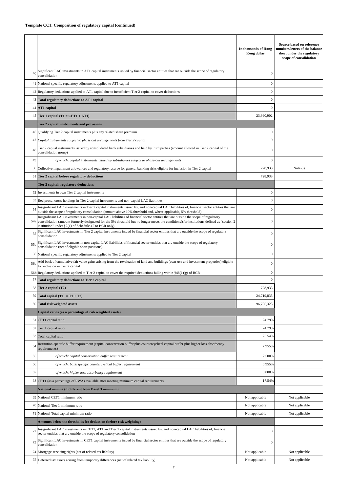|                 |                                                                                                                                                                                                                                                                                                                                                                                                   | In thousands of Hong<br>Kong dollar | Source based on reference<br>numbers/letters of the balance<br>sheet under the regulatory<br>scope of consolidation |
|-----------------|---------------------------------------------------------------------------------------------------------------------------------------------------------------------------------------------------------------------------------------------------------------------------------------------------------------------------------------------------------------------------------------------------|-------------------------------------|---------------------------------------------------------------------------------------------------------------------|
| 40              | Significant LAC investments in AT1 capital instruments issued by financial sector entities that are outside the scope of regulatory<br>consolidation                                                                                                                                                                                                                                              | $\mathbf{0}$                        |                                                                                                                     |
| 41              | National specific regulatory adjustments applied to AT1 capital                                                                                                                                                                                                                                                                                                                                   | $\overline{0}$                      |                                                                                                                     |
| 42              | Regulatory deductions applied to AT1 capital due to insufficient Tier 2 capital to cover deductions                                                                                                                                                                                                                                                                                               | $\mathbf{0}$                        |                                                                                                                     |
| 43              | Total regulatory deductions to AT1 capital                                                                                                                                                                                                                                                                                                                                                        | $\mathbf{0}$                        |                                                                                                                     |
|                 | 44 AT1 capital                                                                                                                                                                                                                                                                                                                                                                                    | $\mathbf{0}$                        |                                                                                                                     |
|                 | 45 Tier 1 capital (T1 = CET1 + AT1)                                                                                                                                                                                                                                                                                                                                                               | 23,990,902                          |                                                                                                                     |
|                 | Tier 2 capital: instruments and provisions                                                                                                                                                                                                                                                                                                                                                        |                                     |                                                                                                                     |
|                 | 46 Qualifying Tier 2 capital instruments plus any related share premium                                                                                                                                                                                                                                                                                                                           | $\mathbf{0}$                        |                                                                                                                     |
| 47              | Capital instruments subject to phase out arrangements from Tier 2 capital                                                                                                                                                                                                                                                                                                                         | $\mathbf{0}$                        |                                                                                                                     |
| 48              | Tier 2 capital instruments issued by consolidated bank subsidiaries and held by third parties (amount allowed in Tier 2 capital of the<br>consolidation group)                                                                                                                                                                                                                                    | $\overline{0}$                      |                                                                                                                     |
| 49              | of which: capital instruments issued by subsidiaries subject to phase-out arrangements                                                                                                                                                                                                                                                                                                            | $\overline{0}$                      |                                                                                                                     |
| 50              | Collective impairment allowances and regulatory reserve for general banking risks eligible for inclusion in Tier 2 capital                                                                                                                                                                                                                                                                        | 728,933                             | Note (i)                                                                                                            |
| 51              | Tier 2 capital before regulatory deductions                                                                                                                                                                                                                                                                                                                                                       | 728.933                             |                                                                                                                     |
|                 | Tier 2 capital: regulatory deductions                                                                                                                                                                                                                                                                                                                                                             |                                     |                                                                                                                     |
| 52              | Investments in own Tier 2 capital instruments                                                                                                                                                                                                                                                                                                                                                     | $\overline{0}$                      |                                                                                                                     |
| 53              | Reciprocal cross-holdings in Tier 2 capital instruments and non-captial LAC liabilities                                                                                                                                                                                                                                                                                                           | $\mathbf{0}$                        |                                                                                                                     |
| 54              | Insignificant LAC investments in Tier 2 capital instruments issued by, and non-capital LAC liabilities of, financial sector entities that are                                                                                                                                                                                                                                                     | $\mathbf{0}$                        |                                                                                                                     |
| 54a             | outside the scope of regulatory consolidation (amount above 10% threshold and, where applicable, 5% threshold)<br>Insignificant LAC investments in non-capital LAC liabilities of financial sector entities that are outside the scope of regulatory<br>consolidation (amount formerly designated for the 5% threshold but no longer meets the conditions)(for institutions defined as "section 2 | $\mathbf{0}$                        |                                                                                                                     |
| 55              | institution" under $\S2(1)$ of Schedule 4F to BCR only)<br>Significant LAC investments in Tier 2 capital instruments issued by financial sector entities that are outside the scope of regulatory<br>consolidation                                                                                                                                                                                | $\mathbf{0}$                        |                                                                                                                     |
| 55 <sup>e</sup> | Significant LAC investments in non-capital LAC liabilities of financial sector entities that are outside the scope of regulatory<br>consolidation (net of eligible short positions)                                                                                                                                                                                                               | $\mathbf{0}$                        |                                                                                                                     |
|                 | 56 National specific regulatory adjustments applied to Tier 2 capital                                                                                                                                                                                                                                                                                                                             | $\mathbf{0}$                        |                                                                                                                     |
| 56              | Add back of cumulative fair value gains arising from the revaluation of land and buildings (own-use and investment properties) eligible<br>for inclusion in Tier 2 capital                                                                                                                                                                                                                        | $\mathbf{0}$                        |                                                                                                                     |
|                 | 56b Regulatory deductions applied to Tier 2 capital to cover the required deductions falling within $\S 48(1)(g)$ of BCR                                                                                                                                                                                                                                                                          | $\mathbf{0}$                        |                                                                                                                     |
| 57              | Total regulatory deductions to Tier 2 capital                                                                                                                                                                                                                                                                                                                                                     | $\overline{0}$                      |                                                                                                                     |
|                 | 58 Tier 2 capital (T2)                                                                                                                                                                                                                                                                                                                                                                            | 728,933                             |                                                                                                                     |
|                 | 59 Total capital (TC = $T1 + T2$ )                                                                                                                                                                                                                                                                                                                                                                | 24,719,835                          |                                                                                                                     |
| 60              | <b>Total risk weighted assets</b>                                                                                                                                                                                                                                                                                                                                                                 | 96,795,323                          |                                                                                                                     |
|                 | Capital ratios (as a percentage of risk weighted assets)                                                                                                                                                                                                                                                                                                                                          |                                     |                                                                                                                     |
| 61              | CET1 capital ratio                                                                                                                                                                                                                                                                                                                                                                                | 24.79%                              |                                                                                                                     |
|                 | 62 Tier 1 capital ratio                                                                                                                                                                                                                                                                                                                                                                           | 24.79%                              |                                                                                                                     |
| 63              | Total capital ratio                                                                                                                                                                                                                                                                                                                                                                               | 25.54%                              |                                                                                                                     |
| 64              | Institution-specific buffer requirement (capital conservation buffer plus countercyclical capital buffer plus higher loss absorbency<br>requirements)                                                                                                                                                                                                                                             | 7.955%                              |                                                                                                                     |
| 65              | of which: capital conservation buffer requirement                                                                                                                                                                                                                                                                                                                                                 | 2.500%                              |                                                                                                                     |
| 66              | of which: bank specific countercyclical buffer requirement                                                                                                                                                                                                                                                                                                                                        | 0.955%                              |                                                                                                                     |
| 67              | of which: higher loss absorbency requirement                                                                                                                                                                                                                                                                                                                                                      | 0.000%                              |                                                                                                                     |
|                 | 68 CET1 (as a percentage of RWA) available after meeting minimum capital requirements                                                                                                                                                                                                                                                                                                             | 17.54%                              |                                                                                                                     |
|                 | National minima (if different from Basel 3 minimum)                                                                                                                                                                                                                                                                                                                                               |                                     |                                                                                                                     |
| 69              | National CET1 minimum ratio                                                                                                                                                                                                                                                                                                                                                                       | Not applicable                      | Not applicable                                                                                                      |
| 70              | National Tier 1 minimum ratio                                                                                                                                                                                                                                                                                                                                                                     | Not applicable                      | Not applicable                                                                                                      |
| 71              | National Total capital minimum ratio                                                                                                                                                                                                                                                                                                                                                              | Not applicable                      | Not applicable                                                                                                      |
|                 | Amounts below the thresholds for deduction (before risk weighting)                                                                                                                                                                                                                                                                                                                                |                                     |                                                                                                                     |
| 72              | Insignificant LAC investments in CET1, AT1 and Tier 2 capital instruments issued by, and non-capital LAC liabilities of, financial<br>sector entities that are outside the scope of regulatory consolidation                                                                                                                                                                                      | $\mathbf{0}$                        |                                                                                                                     |
| 73              | Significant LAC investments in CET1 capital instruments issued by financial sector entities that are outside the scope of regulatory<br>consolidation                                                                                                                                                                                                                                             | $\mathbf{0}$                        |                                                                                                                     |
| 74              | Mortgage servicing rights (net of related tax liability)                                                                                                                                                                                                                                                                                                                                          | Not applicable                      | Not applicable                                                                                                      |
| 75              | Deferred tax assets arising from temporary differences (net of related tax liability)                                                                                                                                                                                                                                                                                                             | Not applicable                      | Not applicable                                                                                                      |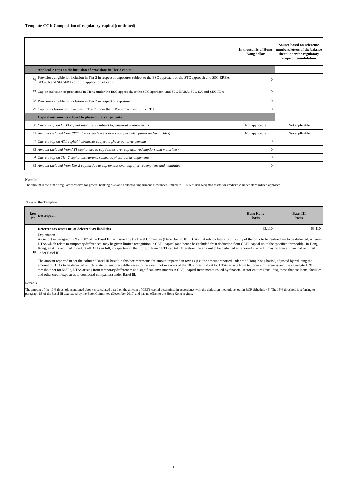|    |                                                                                                                                                                                           | In thousands of Hong<br>Kong dollar | Source based on reference<br>numbers/letters of the balance<br>sheet under the regulatory<br>scope of consolidation |
|----|-------------------------------------------------------------------------------------------------------------------------------------------------------------------------------------------|-------------------------------------|---------------------------------------------------------------------------------------------------------------------|
|    | Applicable caps on the inclusion of provisions in Tier 2 capital                                                                                                                          |                                     |                                                                                                                     |
|    | 76 Provisions eligible for inclusion in Tier 2 in respect of exposures subject to the BSC approach, or the STC approach and SEC-ERBA,<br>SEC-SA and SEC-FBA (prior to application of cap) | $\Omega$                            |                                                                                                                     |
|    | 77 Cap on inclusion of provisions in Tier 2 under the BSC approach, or the STC approach, and SEC-ERBA, SEC-SA and SEC-FBA                                                                 | $\Omega$                            |                                                                                                                     |
|    | 78 Provisions eligible for inclusion in Tier 2 in respect of exposure                                                                                                                     | $\Omega$                            |                                                                                                                     |
|    | 79 Cap for inclusion of provisions in Tier 2 under the IRB approach and SEC-IRBA                                                                                                          | $\Omega$                            |                                                                                                                     |
|    | Capital instruments subject to phase-out arrangements                                                                                                                                     |                                     |                                                                                                                     |
|    | 80 Current cap on CET1 capital instruments subject to phase-out arrangements                                                                                                              | Not applicable                      | Not applicable                                                                                                      |
| 81 | Amount excluded from CET1 due to cap (excess over cap after redemptions and maturities)                                                                                                   | Not applicable                      | Not applicable                                                                                                      |
|    | 82 Current cap on AT1 capital instruments subject to phase-out arrangements                                                                                                               | $\Omega$                            |                                                                                                                     |
|    | 83 Amount excluded from AT1 capital due to cap (excess over cap after redemptions and maturities)                                                                                         | $\Omega$                            |                                                                                                                     |
|    | 84 Current cap on Tier 2 capital instruments subject to phase-out arrangements                                                                                                            | $\Omega$                            |                                                                                                                     |
|    | 85 Amount excluded from Tier 2 capital due to cap (excess over cap after redemptions and maturities)                                                                                      | $\mathbf{0}$                        |                                                                                                                     |

**Note (i):**

The amount is the sum of regulatory reserve for general banking risks and collective impairment allowances, limited to 1.25% of risk-weighted assets for credit risks under standardized approach.

#### Notes to the Template

| No.                                                                                                                                                                                                                                                                                                                                                                                                                                                                                                                                                                                                                                             | Row Description                                                                                                                                                                                                                                                                                                                                                                                                                                                                                                                                                                                                                                                             | <b>Hong Kong</b><br>hasis | <b>Basel III</b><br>basis |  |  |
|-------------------------------------------------------------------------------------------------------------------------------------------------------------------------------------------------------------------------------------------------------------------------------------------------------------------------------------------------------------------------------------------------------------------------------------------------------------------------------------------------------------------------------------------------------------------------------------------------------------------------------------------------|-----------------------------------------------------------------------------------------------------------------------------------------------------------------------------------------------------------------------------------------------------------------------------------------------------------------------------------------------------------------------------------------------------------------------------------------------------------------------------------------------------------------------------------------------------------------------------------------------------------------------------------------------------------------------------|---------------------------|---------------------------|--|--|
|                                                                                                                                                                                                                                                                                                                                                                                                                                                                                                                                                                                                                                                 | Deferred tax assets net of deferred tax liabilities                                                                                                                                                                                                                                                                                                                                                                                                                                                                                                                                                                                                                         | 63.110                    | 63,110                    |  |  |
| Explanation<br>As set out in paragraphs 69 and 87 of the Basel III text issued by the Basel Committee (December 2010), DTAs that rely on future profitability of the bank to be realized are to be deducted, whereas<br>DTAs which relate to temporary differences may be given limited recognition in CET1 capital (and hence be excluded from deduction from CET1 capital up to the specified threshold). In Hong<br>Kong, an AI is required to deduct all DTAs in full, irrespective of their origin, from CET1 capital. Therefore, the amount to be deducted as reported in row 10 may be greater than that required<br>10 under Basel III. |                                                                                                                                                                                                                                                                                                                                                                                                                                                                                                                                                                                                                                                                             |                           |                           |  |  |
|                                                                                                                                                                                                                                                                                                                                                                                                                                                                                                                                                                                                                                                 | The amount reported under the column "Basel III basis" in this box represents the amount reported in row 10 (i.e. the amount reported under the "Hong Kong basis") adjusted by reducing the<br>amount of DTAs to be deducted which relate to temporary differences to the extent not in excess of the 10% threshold set for DTAs arising from temporary differences and the aggregate 15%<br>threshold set for MSRs, DTAs arising from temporary differences and significant investments in CET1 capital instruments issued by financial sector entities (excluding those that are loans, facilities<br>and other credit exposures to connected companies) under Basel III. |                           |                           |  |  |

Remarks:

The amount of the 10% threshold mentioned above is calculated based on the amount of CET1 capital determined in accordance with the deduction methods set out in BCR Schedule 4F. The 15% threshold is referring to paragraph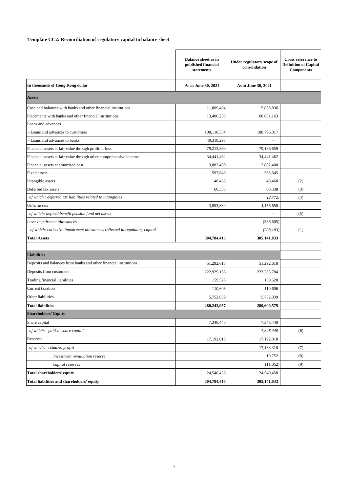## **Template CC2: Reconciliation of regulatory capital to balance sheet**

|                                                                            | <b>Balance sheet as in</b><br>published financial<br>statements | Under regulatory scope of<br>consolidation | <b>Cross reference to</b><br><b>Definition of Capital</b><br><b>Components</b> |
|----------------------------------------------------------------------------|-----------------------------------------------------------------|--------------------------------------------|--------------------------------------------------------------------------------|
| In thousands of Hong Kong dollar                                           | As at June 30, 2021                                             | As at June 30, 2021                        |                                                                                |
| <b>Assets</b>                                                              |                                                                 |                                            |                                                                                |
| Cash and balances with banks and other financial institutions              | 11,809,484                                                      | 5,858,836                                  |                                                                                |
| Placements with banks and other financial institutions                     | 13,400,233                                                      | 68,681,163                                 |                                                                                |
| Loans and advances                                                         |                                                                 |                                            |                                                                                |
| - Loans and advances to customers                                          | 108,118,334                                                     | 108,796,017                                |                                                                                |
| - Loans and advances to banks                                              | 49,318,295                                                      |                                            |                                                                                |
| Financial assets at fair value through profit or loss                      | 79,213,869                                                      | 79,186,659                                 |                                                                                |
| Financial assets at fair value through other comprehensive income          | 34,441,462                                                      | 34,441,462                                 |                                                                                |
| Financial assets at amortised cost                                         | 3,882,400                                                       | 3,882,400                                  |                                                                                |
| <b>Fixed assets</b>                                                        | 597,643                                                         | 365,645                                    |                                                                                |
| Intangible assets                                                          | 48,468                                                          | 48,468                                     | (2)                                                                            |
| Deferred tax assets                                                        | 60,338                                                          | 60,338                                     | (3)                                                                            |
| of which : deferred tax liabilities related to intangibles                 |                                                                 | (2, 772)                                   | (4)                                                                            |
| Other assets                                                               | 3,893,889                                                       | 4,156,650                                  |                                                                                |
| of which: defined benefit pension fund net assets                          |                                                                 |                                            | (5)                                                                            |
| Less: Impairment allowances                                                |                                                                 | (336, 605)                                 |                                                                                |
| of which: collective impairment allowances reflected in regulatory capital |                                                                 | (288, 183)                                 | (1)                                                                            |
| <b>Total Assets</b>                                                        | 304,784,415                                                     | 305,141,033                                |                                                                                |
|                                                                            |                                                                 |                                            |                                                                                |
| <b>Liabilities</b>                                                         |                                                                 |                                            |                                                                                |
| Deposits and balances from banks and other financial institutions          | 51,292,618                                                      | 51,292,618                                 |                                                                                |
| Deposits from customers                                                    | 222,929,166                                                     | 223, 285, 784                              |                                                                                |
| Trading financial liabilities                                              | 159,528                                                         | 159,528                                    |                                                                                |
| Current taxation                                                           | 110,606                                                         | 110,606                                    |                                                                                |
| Other liabilities                                                          | 5,752,039                                                       | 5,752,039                                  |                                                                                |
| <b>Total liabilities</b>                                                   | 280,243,957                                                     | 280,600,575                                |                                                                                |
| <b>Shareholders' Equity</b>                                                |                                                                 |                                            |                                                                                |
| Share capital                                                              | 7,348,440                                                       | 7,348,440                                  |                                                                                |
| of which: paid-in share captial                                            |                                                                 | 7,348,440                                  | (6)                                                                            |
| Reserves                                                                   | 17,192,018                                                      | 17,192,018                                 |                                                                                |
| of which: retained profits                                                 |                                                                 | 17,183,318                                 | (7)                                                                            |
| Investment revaluation reserve                                             |                                                                 | 19,752                                     | (8)                                                                            |
| capital reserves                                                           |                                                                 | (11,052)                                   | (9)                                                                            |
| <b>Total shareholders' equity</b>                                          | 24,540,458                                                      | 24,540,458                                 |                                                                                |
| Total liabilities and shareholders' equity                                 | 304,784,415                                                     | 305,141,033                                |                                                                                |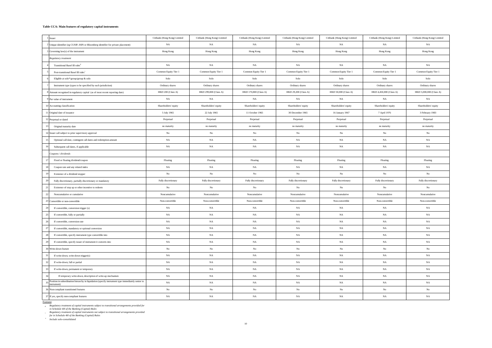#### **Table CCA: Main features of regulatory capital instruments**

| 1 Issuer                                                                                                                      | Citibank (Hong Kong) Limited | Citibank (Hong Kong) Limited | Citibank (Hong Kong) Limited | Citibank (Hong Kong) Limited | Citibank (Hong Kong) Limited | Citibank (Hong Kong) Limited | Citibank (Hong Kong) Limited |
|-------------------------------------------------------------------------------------------------------------------------------|------------------------------|------------------------------|------------------------------|------------------------------|------------------------------|------------------------------|------------------------------|
| 2 Unique identifier (eg CUSIP, ISIN or Bloomberg identifier for private placement)                                            | NA                           | NA                           | NA                           | NA                           | NA                           | NA                           | NA                           |
| 3 Governing law(s) of the instrument                                                                                          | Hong Kong                    | Hong Kong                    | Hong Kong                    | Hong Kong                    | Hong Kong                    | Hong Kong                    | Hong Kong                    |
| Regulatory treatment                                                                                                          |                              |                              |                              |                              |                              |                              |                              |
| Transitional Basel III rules <sup>#</sup>                                                                                     | NA                           | $_{\rm NA}$                  | NA                           | $_{\rm NA}$                  | NA                           | NA                           | NA                           |
| Post-transitional Basel III rules                                                                                             | Common Equity Tier 1         | Common Equity Tier 1         | Common Equity Tier 1         | Common Equity Tier 1         | Common Equity Tier 1         | Common Equity Tier 1         | Common Equity Tier 1         |
| Eligible at solo*/group/group & solo                                                                                          | Solo                         | Solo                         | Solo                         | Solo                         | Solo                         | Solo                         | Solo                         |
| Instrument type (types to be specified by each jurisdiction)                                                                  | Ordinary shares              | Ordinary shares              | Ordinary shares              | Ordinary shares              | Ordinary shares              | Ordinary shares              | Ordinary shares              |
| 8 Amount recognised in regulatory capital (as of most recent reporting date)                                                  | HKD 200 (Class A)            | HKD 299,800 (Class A)        | HKD 170,800 (Class A)        | HKD 29,200 (Class A)         | HKD 50,000 (Class A)         | HKD 4,450,000 (Class A)      | HKD 5,000,000 (Class A)      |
| 9 Par value of instrument                                                                                                     | NA                           | NA                           | NA                           | NA                           | NA                           | NA                           | NA                           |
| 10 Accounting classification                                                                                                  | Shareholders' equity         | Shareholders' equity         | Shareholders' equity         | Shareholders' equity         | Shareholders' equity         | Shareholders' equity         | Shareholders' equity         |
| 11 Original date of issuance                                                                                                  | 5 July 1965                  | 22 July 1965                 | 11 October 1965              | 30 December 1965             | 16 January 1967              | 7 April 1976                 | 3 February 1983              |
| 12 Perpetual or dated                                                                                                         | Perpetual                    | Perpetual                    | Perpetual                    | Perpetual                    | Perpetual                    | Perpetual                    | Perpetual                    |
| Original maturity date                                                                                                        | no maturity                  | no maturity                  | no maturity                  | no maturity                  | no maturity                  | no maturity                  | no maturity                  |
| 14 Issuer call subject to prior supervisory approval                                                                          | No                           | No                           | No                           | $_{\rm No}$                  | No                           | No                           | No                           |
| Optional call date, contingent call dates and redemption amount<br>15                                                         | NA                           | $_{\rm NA}$                  | NA                           | NA                           | $_{\rm NA}$                  | NA                           | NA                           |
| Subsequent call dates, if applicable                                                                                          | NA                           | $_{\rm NA}$                  | NA                           | NA                           | $_{\rm NA}$                  | NA                           | NA                           |
| Coupons / dividends                                                                                                           |                              |                              |                              |                              |                              |                              |                              |
| Fixed or floating dividend/coupon                                                                                             | Floating                     | Floating                     | Floating                     | Floating                     | Floating                     | Floating                     | Floating                     |
| Coupon rate and any related index                                                                                             | NA                           | NA                           | NA                           | NA                           | NA                           | NA                           | NA                           |
| Existence of a dividend stopper                                                                                               | $_{\mathrm{No}}$             | $_{\rm No}$                  | $_{\rm No}$                  | $_{\rm No}$                  | $_{\rm No}$                  | No                           | $_{\rm No}$                  |
| Fully discretionary, partially discretionary or mandatory                                                                     | Fully discretionary          | Fully discretionary          | Fully discretionary          | Fully discretionary          | Fully discretionary          | Fully discretionary          | Fully discretionary          |
| Existence of step up or other incentive to redeem                                                                             | No                           | No                           | No                           | No                           | No                           | No                           | No                           |
| Noncumulative or cumulative                                                                                                   | Noncumulative                | Noncumulative                | Noncumulative                | Noncumulative                | Noncumulative                | Noncumulative                | Noncumulative                |
| 23 Convertible or non-convertible                                                                                             | Non-convertible              | Non-convertible              | Non-convertible              | Non-convertible              | Non-convertible              | Non-convertible              | Non-convertible              |
| If convertible, conversion trigger (s)                                                                                        | NA                           | $_{\rm NA}$                  | NA                           | NA                           | NA                           | NA                           | NA                           |
| If convertible, fully or partially                                                                                            | NA                           | $_{\rm NA}$                  | NA                           | NA                           | $_{\rm NA}$                  | NA                           | NA                           |
| If convertible, conversion rate                                                                                               | NA                           | $_{\rm NA}$                  | NA                           | NA                           | NA                           | NA                           | NA                           |
| If convertible, mandatory or optional conversion                                                                              | $_{\rm NA}$                  | $_{\rm NA}$                  | $_{\rm NA}$                  | $_{\rm NA}$                  | $_{\rm NA}$                  | NA                           | $_{\rm NA}$                  |
| If convertible, specify instrument type convertible into                                                                      | NA                           | $_{\rm NA}$                  | NA                           | NA                           | $_{\rm NA}$                  | NA                           | NA                           |
| If convertible, specify issuer of instrument it converts into                                                                 | NA                           | NA                           | NA                           | NA                           | $_{\rm NA}$                  | NA                           | NA                           |
| $30\,$ Write-down feature                                                                                                     | No                           | No                           | $_{\rm No}$                  | $_{\rm No}$                  | No                           | No                           | No                           |
| If write-down, write-down trigger(s)                                                                                          | NA                           | NA                           | NA                           | NA                           | NA                           | NA                           | NA                           |
| 32<br>If write-down, full or partial                                                                                          | $_{\rm NA}$                  | $_{\rm NA}$                  | $_{\rm NA}$                  | $_{\rm NA}$                  | $_{\rm NA}$                  | $_{\rm NA}$                  | $_{\rm NA}$                  |
| If write-down, permanent or temporary<br>33                                                                                   | NA                           | NA                           | NA                           | NA                           | NA                           | NA                           | NA                           |
| If temporary write-down, description of write-up mechanism                                                                    | NA                           | $_{\rm NA}$                  | NA                           | NA                           | NA                           | NA                           | NA                           |
| Position in subordination hierarchy in liquidation (specify instrument type immediately senior to instrument).<br>instrument) | NA                           | NA                           | NA                           | NA                           | NA                           | NA                           | NA                           |
| 36 Non-compliant transitioned features                                                                                        | No                           | No                           | No                           | No                           | No                           | No                           | No                           |
| 37 If yes, specify non-compliant features                                                                                     | NA                           | $_{\rm NA}$                  | $_{\rm NA}$                  | $_{\rm NA}$                  | $_{\rm NA}$                  | $_{\rm NA}$                  | NA                           |

Footnote:

Aegulatory treatment of capital instruments subject to transitional arrangements provided for<br>in Schedule 4H of the Banking (Capital) Rules<br>Regulatory treatment of capital instruments not subject to transitional arrangemen

*\* Include solo-consolidated*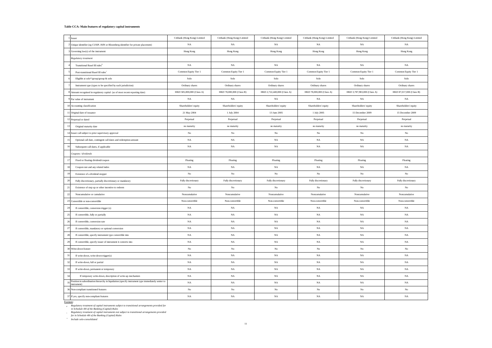#### **Table CCA: Main features of regulatory capital instruments**

|           | Issuer                                                                                                           | Citibank (Hong Kong) Limited | Citibank (Hong Kong) Limited | Citibank (Hong Kong) Limited | Citibank (Hong Kong) Limited | Citibank (Hong Kong) Limited | Citibank (Hong Kong) Limited |
|-----------|------------------------------------------------------------------------------------------------------------------|------------------------------|------------------------------|------------------------------|------------------------------|------------------------------|------------------------------|
|           | 2 Unique identifier (eg CUSIP, ISIN or Bloomberg identifier for private placement)                               | NA                           | NA                           | NA                           | NA                           | NA                           | $_{\rm NA}$                  |
|           | 3 Governing law(s) of the instrument                                                                             | Hong Kong                    | Hong Kong                    | Hong Kong                    | Hong Kong                    | Hong Kong                    | Hong Kong                    |
|           | Regulatory treatment                                                                                             |                              |                              |                              |                              |                              |                              |
|           | Transitional Basel III rules <sup>®</sup>                                                                        | NA                           | NA                           | $_{\rm NA}$                  | $_{\rm NA}$                  | NA                           | $_{\rm NA}$                  |
|           | Post-transitional Basel III rules                                                                                | Common Equity Tier 1         | Common Equity Tier 1         | Common Equity Tier 1         | Common Equity Tier 1         | Common Equity Tier 1         | Common Equity Tier 1         |
|           | Eligible at solo*/group/group & solo                                                                             | Solo                         | $\operatorname{Solo}$        | Solo                         | Solo                         | $\operatorname{Solo}$        | Solo                         |
|           | Instrument type (types to be specified by each jurisdiction)                                                     | Ordinary shares              | Ordinary shares              | Ordinary shares              | Ordinary shares              | Ordinary shares              | Ordinary shares              |
|           | Amount recognised in regulatory capital (as of most recent reporting date)                                       | HKD 585,000,000 (Class A)    | HKD 78,000,000 (Class B)     | HKD 2,722,440,000 (Class A)  | HKD 78,000,000 (Class A)     | HKD 3,787,983,000 (Class A)  | HKD 87,017,000 (Class B)     |
|           | 9 Par value of instrument                                                                                        | NA                           | NA                           | NA                           | NA                           | NA                           | $_{\rm NA}$                  |
|           | 10 Accounting classification                                                                                     | Shareholders' equity         | Shareholders' equity         | Shareholders' equity         | Shareholders' equity         | Shareholders' equity         | Shareholders' equity         |
|           | 11 Original date of issuance                                                                                     | 21 May 2004                  | 1 July 2004                  | 13 June 2005                 | 1 July 2005                  | 15 December 2009             | 15 December 2009             |
|           | 12 Perpetual or dated                                                                                            | Perpetual                    | Perpetual                    | Perpetual                    | Perpetual                    | Perpetual                    | Perpetual                    |
| 13        | Original maturity date                                                                                           | no maturity                  | no maturity                  | no maturity                  | no maturity                  | no maturity                  | no maturity                  |
|           | 14 Issuer call subject to prior supervisory approval                                                             | $_{\rm No}$                  | No                           | $_{\rm No}$                  | No                           | No                           | $_{\rm No}$                  |
| 15        | Optional call date, contingent call dates and redemption amount                                                  | $_{\rm NA}$                  | $_{\rm NA}$                  | $_{\rm NA}$                  | $_{\rm NA}$                  | $_{\rm NA}$                  | $_{\rm NA}$                  |
| 16        | Subsequent call dates, if applicable                                                                             | $_{\rm NA}$                  | NA                           | NA                           | $_{\rm NA}$                  | NA                           | $_{\rm NA}$                  |
|           | Coupons / dividends                                                                                              |                              |                              |                              |                              |                              |                              |
|           | Fixed or floating dividend/coupon                                                                                | Floating                     | Floating                     | Floating                     | Floating                     | Floating                     | Floating                     |
|           | Coupon rate and any related index                                                                                | NA                           | NA                           | NA                           | NA                           | NA                           | NA                           |
| 19        | Existence of a dividend stopper                                                                                  | $_{\rm No}$                  | No                           | $_{\rm No}$                  | No                           | $_{\rm No}$                  | $_{\rm No}$                  |
| 20        | Fully discretionary, partially discretionary or mandatory                                                        | Fully discretionary          | Fully discretionary          | Fully discretionary          | Fully discretionary          | Fully discretionary          | Fully discretionary          |
| $21\,$    | Existence of step up or other incentive to redeem                                                                | $_{\rm No}$                  | No                           | $_{\rm No}$                  | $_{\rm No}$                  | $_{\rm No}$                  | $_{\rm No}$                  |
| $22\,$    | Noncumulative or cumulative                                                                                      | Noncumulative                | Noncumulative                | Noncumulative                | Noncumulative                | Noncumulative                | Noncumulative                |
|           | 23 Convertible or non-convertible                                                                                | Non-convertible              | Non-convertible              | Non-convertible              | Non-convertible              | Non-convertible              | Non-convertible              |
| 24        | If convertible, conversion trigger (s)                                                                           | NA                           | <b>NA</b>                    | $_{\rm NA}$                  | NA                           | $_{\rm NA}$                  | $_{\rm NA}$                  |
| 25        | If convertible, fully or partially                                                                               | NA                           | NA                           | $_{\rm NA}$                  | NA                           | NA                           | $_{\rm NA}$                  |
| 26        | If convertible, conversion rate                                                                                  | NA                           | NA                           | $_{\rm NA}$                  | NA                           | NA                           | NA                           |
| 27        | If convertible, mandatory or optional conversion                                                                 | NA                           | NA                           | $_{\rm NA}$                  | $_{\rm NA}$                  | NA                           | $_{\rm NA}$                  |
| 28        | If convertible, specify instrument type convertible into                                                         | NA                           | NA                           | $_{\rm NA}$                  | $_{\rm NA}$                  | NA                           | $_{\rm NA}$                  |
| 29        | If convertible, specify issuer of instrument it converts into                                                    | $_{\rm NA}$                  | $_{\rm NA}$                  | $_{\rm NA}$                  | $_{\rm NA}$                  | $_{\rm NA}$                  | $_{\rm NA}$                  |
|           | 30 Write-down feature                                                                                            | $_{\rm No}$                  | No                           | $_{\rm No}$                  | $_{\rm No}$                  | No                           | No                           |
| 31        | If write-down, write-down trigger(s)                                                                             | NA                           | NA                           | $_{\rm NA}$                  | $_{\rm NA}$                  | NA                           | $_{\rm NA}$                  |
| 32        | If write-down, full or partial                                                                                   | NA                           | NA                           | $_{\rm NA}$                  | NA                           | NA                           | $_{\rm NA}$                  |
| 33        | If write-down, permanent or temporary                                                                            | $_{\rm NA}$                  | NA                           | NA                           | NA                           | $_{\rm NA}$                  | NA                           |
| 34        | If temporary write-down, description of write-up mechanism                                                       | NA                           | NA                           | $_{\rm NA}$                  | NA                           | NA                           | $_{\rm NA}$                  |
| 35        | Position in subordination hierarchy in liquidation (specify instrument type immediately senior to<br>instrument) | NA                           | NA                           | NA                           | NA                           | NA                           | NA                           |
|           | 36 Non-compliant transitioned features                                                                           | $_{\rm No}$                  | $_{\rm No}$                  | $_{\rm No}$                  | $_{\rm No}$                  | $_{\rm No}$                  | $_{\rm No}$                  |
|           | 37 If yes, specify non-compliant features                                                                        | $_{\rm NA}$                  | $_{\rm NA}$                  | $_{\rm NA}$                  | $_{\rm NA}$                  | $_{\rm NA}$                  | $_{\rm NA}$                  |
| Footnote: |                                                                                                                  |                              |                              |                              |                              |                              |                              |

Aegulatory treatment of capital instruments subject to transitional arrangements provided for<br>in Schedule 4H of the Banking (Capital) Rules<br>Regulatory treatment of capital instruments not subject to transitional arrangemen

*\* Include solo-consolidated*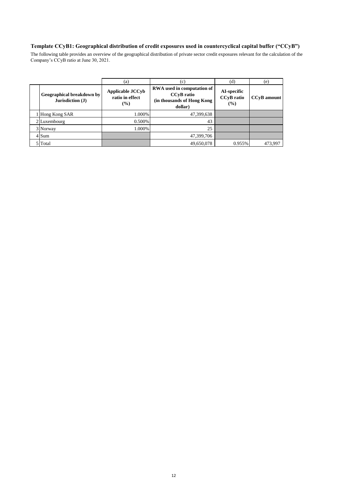## **Template CCyB1: Geographical distribution of credit exposures used in countercyclical capital buffer ("CCyB")**

The following table provides an overview of the geographical distribution of private sector credit exposures relevant for the calculation of the Company's CCyB ratio at June 30, 2021.

|                                               | (a)                                                  | (c)                                                                                      | (d)                                     | (e)                |
|-----------------------------------------------|------------------------------------------------------|------------------------------------------------------------------------------------------|-----------------------------------------|--------------------|
| Geographical breakdown by<br>Jurisdiction (J) | <b>Applicable JCCyb</b><br>ratio in effect<br>$(\%)$ | RWA used in computation of<br><b>CCvB</b> ratio<br>(in thousands of Hong Kong<br>dollar) | AI-specific<br><b>CCvB</b> ratio<br>(%) | <b>CCvB</b> amount |
| 1 Hong Kong SAR                               | 1.000%                                               | 47,399,638                                                                               |                                         |                    |
| 2 Luxembourg                                  | $0.500\%$                                            | 43                                                                                       |                                         |                    |
| 3 Norway                                      | 1.000%                                               | 25                                                                                       |                                         |                    |
| 4 Sum                                         |                                                      | 47,399,706                                                                               |                                         |                    |
| 5 Total                                       |                                                      | 49,650,078                                                                               | 0.955%                                  | 473.997            |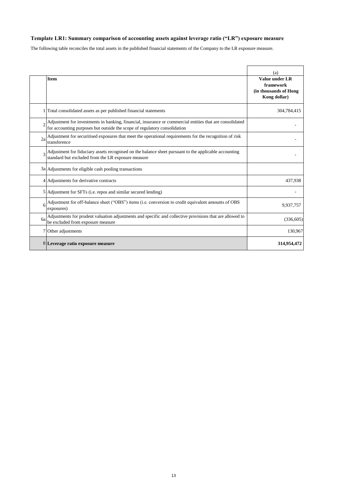## **Template LR1: Summary comparison of accounting assets against leverage ratio ("LR") exposure measure**

The following table reconciles the total assets in the published financial statements of the Company to the LR exposure measure.

|           | <b>Item</b>                                                                                                                                                                           | (a)<br>Value under LR<br>framework<br>(in thousands of Hong<br>Kong dollar) |
|-----------|---------------------------------------------------------------------------------------------------------------------------------------------------------------------------------------|-----------------------------------------------------------------------------|
|           | Total consolidated assets as per published financial statements                                                                                                                       | 304,784,415                                                                 |
|           | Adjustment for investments in banking, financial, insurance or commercial entities that are consolidated<br>for accounting purposes but outside the scope of regulatory consolidation |                                                                             |
| 2a        | Adjustment for securitised exposures that meet the operational requirements for the recognition of risk<br>transference                                                               |                                                                             |
|           | Adjustment for fiduciary assets recognised on the balance sheet pursuant to the applicable accounting<br>standard but excluded from the LR exposure measure                           |                                                                             |
|           | 3a Adjustments for eligible cash pooling transactions                                                                                                                                 |                                                                             |
|           | 4 Adjustments for derivative contracts                                                                                                                                                | 437,938                                                                     |
|           | 5 Adjustment for SFTs (i.e. repos and similar secured lending)                                                                                                                        |                                                                             |
|           | Adjustment for off-balance sheet ("OBS") items (i.e. conversion to credit equivalent amounts of OBS<br>exposures)                                                                     | 9,937,757                                                                   |
| <b>ба</b> | Adjustments for prudent valuation adjustments and specific and collective provisions that are allowed to<br>be excluded from exposure measure                                         | (336, 605)                                                                  |
|           | 7 Other adjustments                                                                                                                                                                   | 130,967                                                                     |
|           | 8 Leverage ratio exposure measure                                                                                                                                                     | 314,954,472                                                                 |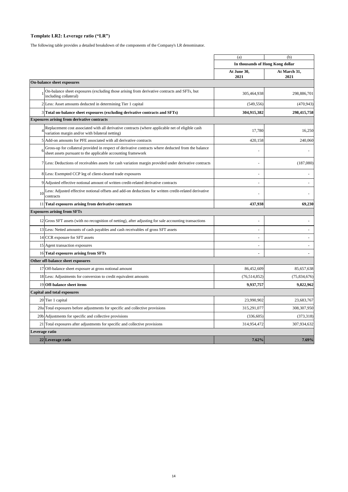## **Template LR2: Leverage ratio ("LR")**

The following table provides a detailed breakdown of the components of the Company's LR denominator.

|                |                                                                                                                                                                     | (a)                              | (b)                  |
|----------------|---------------------------------------------------------------------------------------------------------------------------------------------------------------------|----------------------------------|----------------------|
|                |                                                                                                                                                                     | In thousands of Hong Kong dollar |                      |
|                |                                                                                                                                                                     | At June 30,<br>2021              | At March 31,<br>2021 |
|                | <b>On-balance sheet exposures</b>                                                                                                                                   |                                  |                      |
|                | On-balance sheet exposures (excluding those arising from derivative contracts and SFTs, but<br>including collateral)                                                | 305,464,938                      | 298,886,701          |
|                | 2 Less: Asset amounts deducted in determining Tier 1 capital                                                                                                        | (549, 556)                       | (470, 943)           |
|                | 3 Total on-balance sheet exposures (excluding derivative contracts and SFTs)                                                                                        | 304,915,382                      | 298,415,758          |
|                | <b>Exposures arising from derivative contracts</b>                                                                                                                  |                                  |                      |
|                | Replacement cost associated with all derivative contracts (where applicable net of eligible cash<br>variation margin and/or with bilateral netting)                 | 17,780                           | 16,250               |
|                | 5 Add-on amounts for PFE associated with all derivative contracts                                                                                                   | 420.158                          | 240,060              |
| 6              | Gross-up for collateral provided in respect of derivative contracts where deducted from the balance<br>sheet assets pursuant to the applicable accounting framework |                                  |                      |
|                | 7 Less: Deductions of receivables assets for cash variation margin provided under derivative contracts                                                              |                                  | (187,080)            |
|                | 8 Less: Exempted CCP leg of client-cleared trade exposures                                                                                                          |                                  |                      |
|                | 9 Adjusted effective notional amount of written credit-related derivative contracts                                                                                 |                                  |                      |
|                | 10 Less: Adjusted effective notional offsets and add-on deductions for written credit-related derivative<br>contracts                                               |                                  |                      |
|                | 11 Total exposures arising from derivative contracts                                                                                                                | 437,938                          | 69,230               |
|                | <b>Exposures arising from SFTs</b>                                                                                                                                  |                                  |                      |
|                | 12 Gross SFT assets (with no recognition of netting), after adjusting for sale accounting transactions                                                              |                                  |                      |
|                | 13 Less: Netted amounts of cash payables and cash receivables of gross SFT assets                                                                                   |                                  |                      |
|                | 14 CCR exposure for SFT assets                                                                                                                                      |                                  |                      |
|                | 15 Agent transaction exposures                                                                                                                                      |                                  |                      |
|                | 16 Total exposures arising from SFTs                                                                                                                                | $\blacksquare$                   |                      |
|                | Other off-balance sheet exposures                                                                                                                                   |                                  |                      |
|                | 17 Off-balance sheet exposure at gross notional amount                                                                                                              | 86,452,609                       | 85,657,638           |
|                | 18 Less: Adjustments for conversion to credit equivalent amounts                                                                                                    | (76, 514, 852)                   | (75,834,676)         |
|                | 19 Off-balance sheet items                                                                                                                                          | 9,937,757                        | 9,822,962            |
|                | <b>Capital and total exposures</b>                                                                                                                                  |                                  |                      |
|                | 20 Tier 1 capital                                                                                                                                                   | 23,990,902                       | 23,683,767           |
|                | 20a Total exposures before adjustments for specific and collective provisions                                                                                       | 315,291,077                      | 308,307,950          |
|                | 20b Adjustments for specific and collective provisions                                                                                                              | (336, 605)                       | (373, 318)           |
|                | 21 Total exposures after adjustments for specific and collective provisions                                                                                         | 314,954,472                      | 307,934,632          |
| Leverage ratio |                                                                                                                                                                     |                                  |                      |
|                | 22 Leverage ratio                                                                                                                                                   | 7.62%                            | 7.69%                |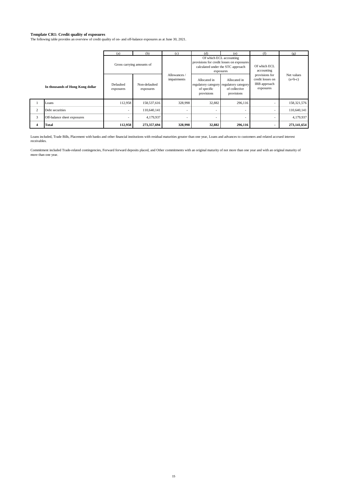#### **Template CR1: Credit quality of exposures**

The following table provides an overview of credit quality of on- and off-balance exposures as at June 30, 2021.

|                |                                  | (a)                    | (b)                        | (c)                         | (d)                                       | (e)                                                                                                                    | (f)                                                             | (g)                     |
|----------------|----------------------------------|------------------------|----------------------------|-----------------------------|-------------------------------------------|------------------------------------------------------------------------------------------------------------------------|-----------------------------------------------------------------|-------------------------|
|                |                                  |                        | Gross carrying amounts of  |                             |                                           | Of which ECL accounting<br>provisions for credit losses on exposures<br>calculated under the STC approach<br>exposures | Of which ECL<br>accounting                                      |                         |
|                | In thousands of Hong Kong dollar | Defaulted<br>exposures | Non-defaulted<br>exposures | Allowances /<br>impairments | Allocated in<br>of specific<br>provisions | Allocated in<br>regulatory category regulatory category<br>of collective<br>provisions                                 | provisions for<br>credit losses on<br>IRB approach<br>exposures | Net values<br>$(a+b-c)$ |
|                | Loans                            | 112,958                | 158,537,616                | 328,998                     | 32,882                                    | 296,116                                                                                                                |                                                                 | 158,321,576             |
| $\overline{2}$ | Debt securities                  |                        | 110.640.141                |                             | ٠                                         |                                                                                                                        |                                                                 | 110,640,141             |
| 3              | Off-balance sheet exposures      |                        | 4,179,937                  |                             | ۰                                         |                                                                                                                        | $\overline{\phantom{a}}$                                        | 4,179,937               |
|                | <b>Total</b>                     | 112,958                | 273,357,694                | 328,998                     | 32,882                                    | 296,116                                                                                                                | $\blacksquare$                                                  | 273,141,654             |

Loans included, Trade Bills, Placement with banks and other financial institutions with residual maturities greater than one year, Loans and advances to customers and related accrued interest receivables.

Commitment included Trade-related contingencies, Forward forward deposits placed, and Other commitments with an original maturity of not more than one year and with an original maturity of more than one year.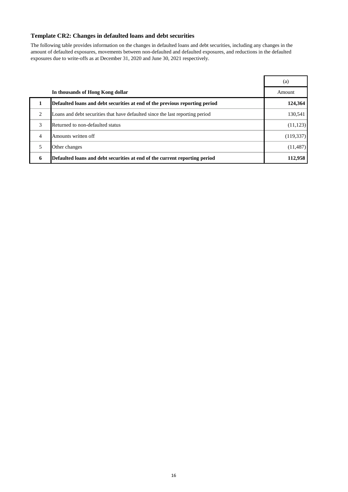## **Template CR2: Changes in defaulted loans and debt securities**

The following table provides information on the changes in defaulted loans and debt securities, including any changes in the amount of defaulted exposures, movements between non-defaulted and defaulted exposures, and reductions in the defaulted exposures due to write-offs as at December 31, 2020 and June 30, 2021 respectively.

|   |                                                                               | (a)        |
|---|-------------------------------------------------------------------------------|------------|
|   | In thousands of Hong Kong dollar                                              | Amount     |
|   | Defaulted loans and debt securities at end of the previous reporting period   | 124,364    |
| 2 | Loans and debt securities that have defaulted since the last reporting period | 130,541    |
| 3 | Returned to non-defaulted status                                              | (11, 123)  |
| 4 | Amounts written off                                                           | (119, 337) |
| 5 | Other changes                                                                 | (11, 487)  |
| 6 | Defaulted loans and debt securities at end of the current reporting period    | 112,958    |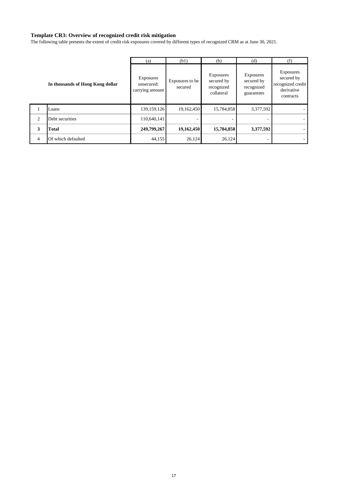#### **Template CR3: Overview of recognized credit risk mitigation**

The following table presents the extent of credit risk exposures covered by different types of recognized CRM as at June 30, 2021.

|                |                                  | (a)                                        | (b1)                       | (b)                                                        | (d)                                                 | (f)                                                                            |
|----------------|----------------------------------|--------------------------------------------|----------------------------|------------------------------------------------------------|-----------------------------------------------------|--------------------------------------------------------------------------------|
|                | In thousands of Hong Kong dollar | Exposures<br>unsecured:<br>carrying amount | Exposures to be<br>secured | <b>Exposures</b><br>secured by<br>recognized<br>collateral | Exposures<br>secured by<br>recognized<br>guarantees | <b>Exposures</b><br>secured by<br>recognized credit<br>derivative<br>contracts |
|                | Loans                            | 139, 159, 126                              | 19,162,450                 | 15,784,858                                                 | 3,377,592                                           |                                                                                |
| 2              | Debt securities                  | 110,640,141                                |                            |                                                            |                                                     |                                                                                |
| 3              | <b>Total</b>                     | 249,799,267                                | 19,162,450                 | 15,784,858                                                 | 3,377,592                                           | $\blacksquare$                                                                 |
| $\overline{4}$ | Of which defaulted               | 44,155                                     | 26,124                     | 26,124                                                     | -                                                   |                                                                                |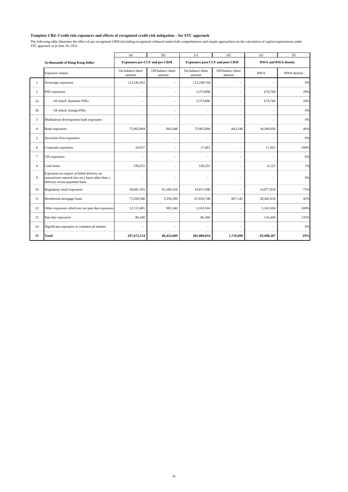#### **Template CR4: Credit risk exposures and effects of recognized credit risk mitigation – for STC approach**

The following table illustrates the effect of any recognized CRM (including recognized collateral under both comprehensive and simple approaches) on the calculation of capital requirements under<br>STC approach as at June 30,

|                |                                                                                                                                  | (a)                                  | (b)                         | (c)                        | (d)                                    | (e)                        | (f)         |
|----------------|----------------------------------------------------------------------------------------------------------------------------------|--------------------------------------|-----------------------------|----------------------------|----------------------------------------|----------------------------|-------------|
|                | In thousands of Hong Kong dollar                                                                                                 | <b>Exposures pre-CCF and pre-CRM</b> |                             |                            | <b>Exposures post-CCF and post-CRM</b> | <b>RWA and RWA density</b> |             |
|                | <b>Exposure classes</b>                                                                                                          | On-balance sheet<br>amount           | Off-balance sheet<br>amount | On-balance sheet<br>amount | Off-balance sheet<br>amount            | <b>RWA</b>                 | RWA density |
| 1              | Sovereign exposures                                                                                                              | 112,245,952                          | $\tilde{\phantom{a}}$       | 112,249,744                | ÷.                                     |                            | 0%          |
| 2              | PSE exposures                                                                                                                    |                                      | ÷,                          | 3,373,800                  | $\sim$                                 | 674,760                    | 20%         |
| 2a             | Of which: domestic PSEs                                                                                                          | $\sim$                               | ٠                           | 3,373,800                  | $\sim$                                 | 674,760                    | 20%         |
| 2 <sub>b</sub> | Of which: foreign PSEs                                                                                                           |                                      | ٠                           | ÷,                         | $\sim$                                 |                            | 0%          |
| 3              | Multilateral development bank exposures                                                                                          | $\sim$                               | ٠                           | ٠                          | $\sim$                                 |                            | 0%          |
| $\overline{4}$ | <b>Bank</b> exposures                                                                                                            | 72,965,894                           | 843,348                     | 72,965,894                 | 843,348                                | 34,200,056                 | 46%         |
| 5              | Securities firm exposures                                                                                                        |                                      | ÷,                          | ÷.                         | ÷                                      |                            | 0%          |
| 6              | Corporate exposures                                                                                                              | 18,057                               | ÷                           | 17,463                     | ÷.                                     | 17,463                     | 100%        |
| $\tau$         | CIS exposures                                                                                                                    |                                      | ÷                           | ÷.                         | $\overline{a}$                         |                            | 0%          |
| 8              | Cash items                                                                                                                       | 530,251                              | $\ddot{\phantom{1}}$        | 530,251                    | $\overline{\phantom{a}}$               | 6,123                      | 1%          |
| 9              | Exposures in respect of failed delivery on<br>transactions entered into on a basis other than a<br>delivery-versus-payment basis |                                      | ٠                           |                            | $\sim$                                 |                            | 0%          |
| 10             | Regulatory retail exposures                                                                                                      | 28,681,591                           | 81,289,326                  | 19,837,090                 |                                        | 14,877,818                 | 75%         |
| 11             | Residential mortgage loans                                                                                                       | 71,030,548                           | 3,336,589                   | 67,656,748                 | 867,142                                | 28,442,034                 | 42%         |
| 12             | Other exposures which are not past due exposures                                                                                 | 12,113,481                           | 983,346                     | 5,163,504                  |                                        | 5,163,504                  | 100%        |
| 13             | Past due exposures                                                                                                               | 86,340                               |                             | 86,340                     | $\overline{a}$                         | 116,449                    | 135%        |
| 14             | Significant exposures to commercial entities                                                                                     | $\overline{\phantom{a}}$             | $\ddot{\phantom{1}}$        | $\ddot{\phantom{1}}$       | $\sim$                                 | $\overline{\phantom{a}}$   | 0%          |
| 15             | <b>Total</b>                                                                                                                     | 297,672,114                          | 86,452,609                  | 281,880,834                | 1,710,490                              | 83,498,207                 | 29%         |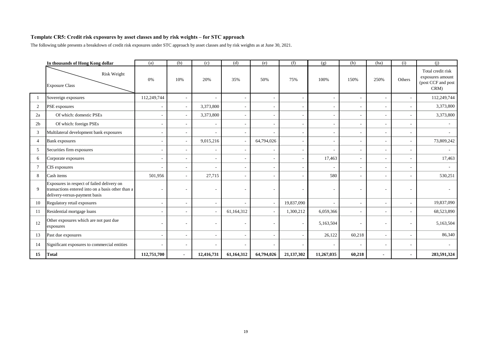#### **Template CR5: Credit risk exposures by asset classes and by risk weights – for STC approach**

The following table presents a breakdown of credit risk exposures under STC approach by asset classes and by risk weights as at June 30, 2021.

|                | In thousands of Hong Kong dollar                                                                                                 | (a)         | (b)            | (c)        | (d)        | (e)        | (f)        | (g)                      | (h)                      | (ha)                     | (i)            | (i)                                                                 |
|----------------|----------------------------------------------------------------------------------------------------------------------------------|-------------|----------------|------------|------------|------------|------------|--------------------------|--------------------------|--------------------------|----------------|---------------------------------------------------------------------|
|                | <b>Risk Weight</b><br><b>Exposure Class</b>                                                                                      | 0%          | 10%            | 20%        | 35%        | 50%        | 75%        | 100%                     | 150%                     | 250%                     | Others         | Total credit risk<br>exposures amount<br>(post CCF and post<br>CRM) |
|                | Sovereign exposures                                                                                                              | 112,249,744 |                |            |            |            |            |                          | $\overline{a}$           | $\overline{\phantom{a}}$ |                | 112,249,744                                                         |
| $\overline{2}$ | PSE exposures                                                                                                                    |             |                | 3,373,800  |            |            |            |                          | $\overline{a}$           | $\overline{\phantom{a}}$ |                | 3,373,800                                                           |
| 2a             | Of which: domestic PSEs                                                                                                          |             |                | 3,373,800  |            |            |            |                          | $\overline{\phantom{0}}$ | $\overline{\phantom{a}}$ |                | 3,373,800                                                           |
| 2 <sub>b</sub> | Of which: foreign PSEs                                                                                                           |             |                |            |            |            |            |                          | $\overline{\phantom{0}}$ | $\overline{\phantom{a}}$ |                |                                                                     |
| 3              | Multilateral development bank exposures                                                                                          |             |                |            |            |            |            |                          | $\overline{\phantom{0}}$ | $\overline{\phantom{a}}$ |                |                                                                     |
| 4              | <b>Bank</b> exposures                                                                                                            |             |                | 9,015,216  |            | 64,794,026 |            |                          | $\overline{a}$           | $\sim$                   |                | 73,809,242                                                          |
| 5              | Securities firm exposures                                                                                                        |             |                |            |            |            |            |                          | $\overline{\phantom{0}}$ | $\overline{\phantom{a}}$ |                |                                                                     |
| 6              | Corporate exposures                                                                                                              |             |                |            |            |            |            | 17,463                   | $\overline{\phantom{a}}$ | $\sim$                   | $\overline{a}$ | 17,463                                                              |
| 7              | CIS exposures                                                                                                                    |             |                |            |            |            |            | $\overline{\phantom{a}}$ | $\overline{\phantom{0}}$ | $\overline{\phantom{a}}$ | $\overline{a}$ |                                                                     |
| 8              | Cash items                                                                                                                       | 501,956     |                | 27,715     |            |            |            | 580                      | $\overline{\phantom{a}}$ |                          |                | 530,251                                                             |
| 9              | Exposures in respect of failed delivery on<br>transactions entered into on a basis other than a<br>delivery-versus-payment basis |             |                |            |            |            |            |                          | $\overline{a}$           |                          |                |                                                                     |
| 10             | Regulatory retail exposures                                                                                                      |             |                |            |            |            | 19,837,090 |                          | $\overline{\phantom{0}}$ |                          |                | 19,837,090                                                          |
| 11             | Residential mortgage loans                                                                                                       |             |                |            | 61,164,312 |            | 1,300,212  | 6,059,366                | $\overline{a}$           | $\overline{\phantom{a}}$ |                | 68,523,890                                                          |
| 12             | Other exposures which are not past due<br>exposures                                                                              |             |                |            |            |            |            | 5,163,504                | $\overline{a}$           |                          |                | 5,163,504                                                           |
| 13             | Past due exposures                                                                                                               |             |                |            |            |            |            | 26,122                   | 60,218                   | $\overline{\phantom{a}}$ |                | 86,340                                                              |
| 14             | Significant exposures to commercial entities                                                                                     |             |                |            |            |            |            |                          |                          | $\overline{\phantom{a}}$ |                |                                                                     |
| 15             | <b>Total</b>                                                                                                                     | 112,751,700 | $\blacksquare$ | 12,416,731 | 61,164,312 | 64,794,026 | 21,137,302 | 11,267,035               | 60,218                   | $\blacksquare$           |                | 283,591,324                                                         |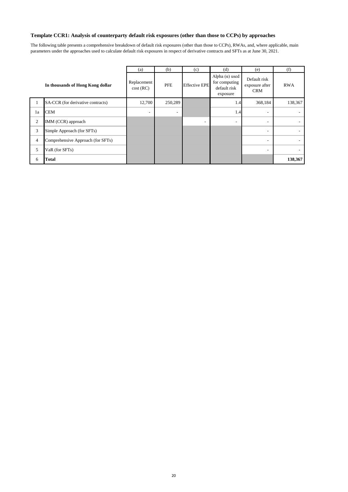## **Template CCR1: Analysis of counterparty default risk exposures (other than those to CCPs) by approaches**

The following table presents a comprehensive breakdown of default risk exposures (other than those to CCPs), RWAs, and, where applicable, main parameters under the approaches used to calculate default risk exposures in respect of derivative contracts and SFTs as at June 30, 2021.

|    |                                   | (a)                      | (b)                      | (c)                      | (d)                                                                | (e)                                          | (f)        |
|----|-----------------------------------|--------------------------|--------------------------|--------------------------|--------------------------------------------------------------------|----------------------------------------------|------------|
|    | In thousands of Hong Kong dollar  | Replacement<br>cost(RC)  | <b>PFE</b>               | <b>Effective EPE</b>     | Alpha $(\alpha)$ used<br>for computing<br>default risk<br>exposure | Default risk<br>exposure after<br><b>CRM</b> | <b>RWA</b> |
|    | SA-CCR (for derivative contracts) | 12,700                   | 250,289                  |                          | 1.4                                                                | 368,184                                      | 138,367    |
| 1a | <b>CEM</b>                        | $\overline{\phantom{a}}$ | $\overline{\phantom{a}}$ |                          | 1.4                                                                |                                              | ٠.         |
| 2  | IMM (CCR) approach                |                          |                          | $\overline{\phantom{0}}$ | $\sim$                                                             |                                              | ۰.         |
| 3  | Simple Approach (for SFTs)        |                          |                          |                          |                                                                    | ٠                                            | ٠.         |
| 4  | Comprehensive Approach (for SFTs) |                          |                          |                          |                                                                    | $\overline{\phantom{0}}$                     | $\sim$     |
| 5  | VaR (for SFTs)                    |                          |                          |                          |                                                                    | $\overline{\phantom{0}}$                     | Ξ.         |
| 6  | Total                             |                          |                          |                          |                                                                    |                                              | 138,367    |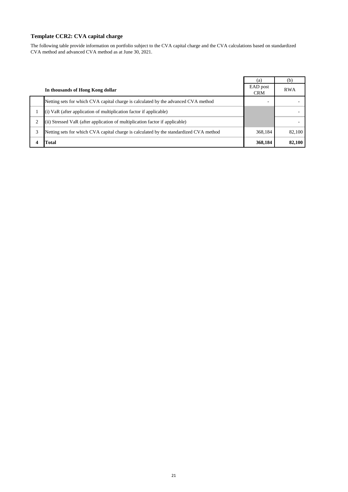## **Template CCR2: CVA capital charge**

The following table provide information on portfolio subject to the CVA capital charge and the CVA calculations based on standardized CVA method and advanced CVA method as at June 30, 2021.

|                                                                                        | (a)                    | (b)        |
|----------------------------------------------------------------------------------------|------------------------|------------|
| In thousands of Hong Kong dollar                                                       | EAD post<br><b>CRM</b> | <b>RWA</b> |
| Netting sets for which CVA capital charge is calculated by the advanced CVA method     |                        |            |
| (i) VaR (after application of multiplication factor if applicable)                     |                        |            |
| (ii) Stressed VaR (after application of multiplication factor if applicable)           |                        |            |
| Netting sets for which CVA capital charge is calculated by the standardized CVA method | 368.184                | 82,100     |
| Total                                                                                  | 368,184                | 82,100     |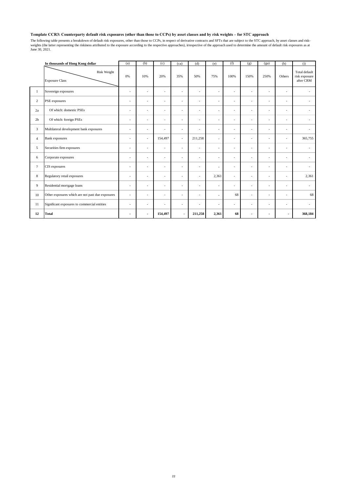#### **Template CCR3: Counterparty default risk exposures (other than those to CCPs) by asset classes and by risk weights – for STC approach**

The following table presents a breakdown of default risk exposures, other than those to CCPs, in respect of derivative contracts and SFTs that are subject to the STC approach, by asset classes and risk-<br>weights (the latter

|                | In thousands of Hong Kong dollar                 | (a)            | (b)                      | (c)                      | (ca)                     | (d)     | (e)            | (f)                      | (g)                      | (ga)                     | (h)                      | (i)                                         |
|----------------|--------------------------------------------------|----------------|--------------------------|--------------------------|--------------------------|---------|----------------|--------------------------|--------------------------|--------------------------|--------------------------|---------------------------------------------|
|                | Risk Weight<br><b>Exposure Class</b>             | 0%             | 10%                      | 20%                      | 35%                      | 50%     | 75%            | 100%                     | 150%                     | 250%                     | Others                   | Total default<br>risk exposure<br>after CRM |
| $\mathbf{1}$   | Sovereign exposures                              | ÷              | ÷,                       | ä,                       | $\sim$                   | $\sim$  | ÷              | ä,                       | ٠                        | ÷                        | ٠                        | ÷                                           |
| $\overline{c}$ | PSE exposures                                    | ÷              | $\overline{\phantom{a}}$ | $\overline{\phantom{a}}$ | $\sim$                   | ٠       | ä,             | $\overline{\phantom{a}}$ | $\blacksquare$           | ٠                        | ٠                        | ٠                                           |
| 2a             | Of which: domestic PSEs                          | ÷,             | $\overline{a}$           | ٠                        | $\sim$                   | ÷       | ÷,             | ÷,                       | ٠                        | ÷                        | $\overline{a}$           |                                             |
| 2 <sub>b</sub> | Of which: foreign PSEs                           | ÷              | $\overline{\phantom{a}}$ | ÷                        | $\sim$                   | ٠       | ä,             | ä,                       | ٠                        | ٠                        | ٠                        | ٠                                           |
| 3              | Multilateral development bank exposures          | ÷              | ÷,                       | ä,                       | ٠                        | ٠       | ä,             | L,                       | ٠                        | ÷                        | ٠                        |                                             |
| $\overline{4}$ | <b>Bank</b> exposures                            | ÷              | ٠                        | 154,497                  | $\sim$                   | 211,258 | $\overline{a}$ | $\overline{a}$           | $\overline{\phantom{a}}$ | $\overline{\phantom{a}}$ | ٠                        | 365,755                                     |
| 5              | Securities firm exposures                        | ÷,             | ÷,                       | ٠                        | ٠                        | $\sim$  | ÷              | ÷,                       | ٠                        | ÷                        | $\sim$                   | ٠                                           |
| 6              | Corporate exposures                              | ÷              | $\overline{\phantom{a}}$ | ٠                        | $\sim$                   | $\sim$  | ÷              | ÷,                       | $\overline{\phantom{a}}$ | ÷                        | ٠                        | $\overline{\phantom{a}}$                    |
| $\tau$         | CIS exposures                                    | ÷,             | ÷,                       | ٠                        |                          | $\sim$  | ä,             | ÷,                       | ٠                        | ÷                        | ٠                        | ٠                                           |
| 8              | Regulatory retail exposures                      | $\overline{a}$ | $\overline{\phantom{a}}$ | ٠                        | $\overline{\phantom{a}}$ | $\sim$  | 2,361          | $\overline{\phantom{a}}$ | $\overline{\phantom{a}}$ | ٠                        | ٠                        | 2,361                                       |
| 9              | Residential mortgage loans                       | ÷              | $\overline{a}$           | ÷                        | $\overline{\phantom{a}}$ | ÷       | ٠              | $\overline{a}$           | $\sim$                   | ÷                        | $\overline{\phantom{a}}$ | ÷                                           |
| 10             | Other exposures which are not past due exposures | $\sim$         | ÷,                       | ä,                       | $\sim$                   | $\sim$  | $\overline{a}$ | 68                       | $\blacksquare$           | ÷                        | ٠                        | 68                                          |
| 11             | Significant exposures to commercial entities     | ÷,             | $\overline{\phantom{a}}$ | ÷,                       | $\sim$                   | ÷,      | ٠              | ä,                       | $\overline{\phantom{a}}$ | ٠                        | $\sim$                   | ٠                                           |
| 12             | <b>Total</b>                                     | $\blacksquare$ | $\blacksquare$           | 154,497                  | $\blacksquare$           | 211,258 | 2,361          | 68                       | ٠                        | $\blacksquare$           | $\blacksquare$           | 368,184                                     |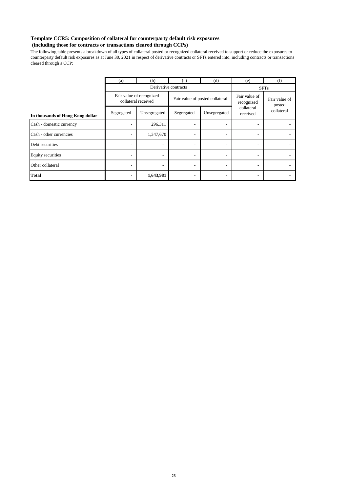## **Template CCR5: Composition of collateral for counterparty default risk exposures**

## **(including those for contracts or transactions cleared through CCPs)**

The following table presents a breakdown of all types of collateral posted or recognized collateral received to support or reduce the exposures to counterparty default risk exposures as at June 30, 2021 in respect of derivative contracts or SFTs entered into, including contracts or transactions cleared through a CCP:

|                                  | (a)        | (b)                                             | (c)                      | (d)                             | (e)                         | (f)                     |
|----------------------------------|------------|-------------------------------------------------|--------------------------|---------------------------------|-----------------------------|-------------------------|
|                                  |            |                                                 | Derivative contracts     |                                 |                             | <b>SFTs</b>             |
|                                  |            | Fair value of recognized<br>collateral received |                          | Fair value of posted collateral | Fair value of<br>recognized | Fair value of<br>posted |
| In thousands of Hong Kong dollar | Segregated | Unsegregated                                    | Segregated               | Unsegregated                    | collateral<br>received      | collateral              |
| Cash - domestic currency         |            | 296,311                                         | $\overline{\phantom{0}}$ | -                               |                             |                         |
| Cash - other currencies          |            | 1,347,670                                       |                          | ۰                               | $\overline{\phantom{a}}$    |                         |
| Debt securities                  |            | $\overline{\phantom{a}}$                        | $\overline{\phantom{0}}$ | -                               | $\overline{a}$              |                         |
| <b>Equity securities</b>         |            | $\overline{\phantom{a}}$                        | $\overline{\phantom{0}}$ | -                               | -                           |                         |
| Other collateral                 |            | $\overline{\phantom{a}}$                        | $\overline{\phantom{0}}$ | -                               | $\overline{\phantom{a}}$    |                         |
| <b>Total</b>                     |            | 1,643,981                                       |                          |                                 |                             |                         |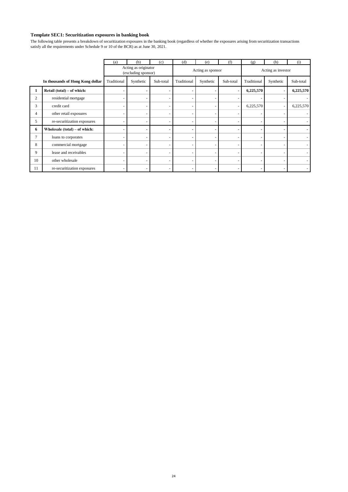## **Template SEC1: Securitization exposures in banking book**

The following table presents a breakdown of securitization exposures in the banking book (regardless of whether the exposures arising from securitization transactions satisfy all the requirements under Schedule 9 or 10 of the BCR) as at June 30, 2021.

|                |                                  | (a)         | (b)                                         | (c)       | (d)         | (e)                      | (f)       | (g)                | (h)       | (i)       |  |
|----------------|----------------------------------|-------------|---------------------------------------------|-----------|-------------|--------------------------|-----------|--------------------|-----------|-----------|--|
|                |                                  |             | Acting as originator<br>(excluding sponsor) |           |             | Acting as sponsor        |           | Acting as investor |           |           |  |
|                | In thousands of Hong Kong dollar | Traditional | Synthetic                                   | Sub-total | Traditional | Synthetic                | Sub-total | Traditional        | Synthetic | Sub-total |  |
| 1              | Retail (total) – of which:       |             |                                             |           |             |                          |           | 6,225,570          |           | 6,225,570 |  |
| $\overline{2}$ | residential mortgage             |             |                                             |           |             |                          |           |                    |           |           |  |
| 3              | credit card                      |             |                                             |           |             |                          |           | 6,225,570          |           | 6,225,570 |  |
| 4              | other retail exposures           |             |                                             |           |             |                          |           |                    |           |           |  |
| 5              | re-securitization exposures      |             |                                             |           |             |                          |           |                    |           |           |  |
| 6              | Wholesale (total) – of which:    |             |                                             |           |             |                          |           |                    |           |           |  |
| $\tau$         | loans to corporates              |             |                                             |           |             |                          |           |                    |           |           |  |
| 8              | commercial mortgage              |             |                                             |           |             |                          |           |                    |           |           |  |
| 9              | lease and receivables            |             |                                             |           |             | ٠                        |           |                    |           |           |  |
| 10             | other wholesale                  |             |                                             |           |             | ٠                        |           |                    | ۰         |           |  |
| 11             | re-securitization exposures      |             |                                             |           |             | $\overline{\phantom{a}}$ |           |                    |           |           |  |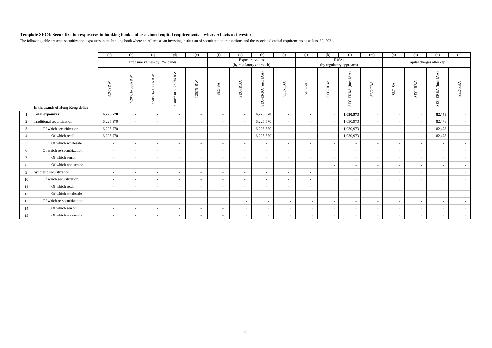#### **Template SEC4: Securitization exposures in banking book and associated capital requirements – where AI acts as investor**

The following table presents securitization exposures in the banking book where an AI acts as an investing institution of securitization transactions and the associated capital requirements as at June 30, 2021.

|                 |                                  | (a)                  | (b)                                           | (c)                               | (d)                                                                | (e)                                   | (f)           | (g)                      | (h)                      | (i)                        | (i)                      | (k)                                     | (1)                                                  | (m)     | (n)                      | (o)                       | (p)                                            | (a)            |
|-----------------|----------------------------------|----------------------|-----------------------------------------------|-----------------------------------|--------------------------------------------------------------------|---------------------------------------|---------------|--------------------------|--------------------------|----------------------------|--------------------------|-----------------------------------------|------------------------------------------------------|---------|--------------------------|---------------------------|------------------------------------------------|----------------|
|                 |                                  |                      |                                               | Exposure values (by RW bands)     |                                                                    |                                       |               | (by regulatory approach) | Exposure values          |                            |                          | <b>RWAs</b><br>(by regulatory approach) |                                                      |         |                          | Capital charges after cap |                                                |                |
|                 | In thousands of Hong Kong dollar | $\mathfrak{Q}0\%$ RW | $\mathbf{R}\mathbf{W}$<br>50%<br>G<br>$>20\%$ | $100\%$ RW<br>$\mathbf{c}$<br>50% | $\mathbb{R}\mathbb{W}$<br>1250%<br>$\vee$<br>$\mathbf{c}$<br>>100% | ≽<br>$\simeq$<br>50%<br>$\ddot{\sim}$ | $-SA$<br>SEC- | SEC-IRBA                 | (incl IAA)<br>SEC-ERBA   | ⋖<br>SEC-FB.               | SEC-SA                   | EB.<br>SEC-                             | $\mathsf{IA}(\mathsf{A})$<br>$\rm (incl$<br>SEC-ERBA | SEC-FBA | SEC-SA                   | SEC-IRBA                  | $\mathsf{IA}(\mathsf{A})$<br>(incl<br>SEC-ERB. | ⋖<br>Ê<br>SEC. |
|                 | <b>Total exposures</b>           | 6,225,570            | $\sim$                                        | $\sim$                            | $\blacksquare$                                                     | $\blacksquare$                        | $\sim$        | $\sim$                   | 6,225,570                | $\sim$                     | $\sim$                   | $\overline{\phantom{a}}$                | 1,030,973                                            | $\sim$  | $\overline{\phantom{a}}$ | $\blacksquare$            | 82,478                                         | $\sim$         |
| $\overline{c}$  | Traditional securitization       | 6,225,570            | $\sim$                                        | $\sim$                            | $\overline{\phantom{a}}$                                           | . .                                   | ٠             | $\sim$                   | 6,225,570                | $\sim$                     | $\sim$                   |                                         | 1,030,973                                            | $\sim$  |                          |                           | 82,478                                         | $\sim$         |
| 3               | Of which securitization          | 6,225,570            | $\mathbf{r}$                                  | <b>110</b>                        | $\sim$                                                             | $\overline{\phantom{a}}$              | ۰.            | $\sim$                   | 6,225,570                | $\sim$                     | $\sim$                   | $\overline{\phantom{a}}$                | 1,030,973                                            | $\sim$  | $\sim$                   |                           | 82,478                                         | $\sim$         |
| $\overline{4}$  | Of which retail                  | 6,225,570            | ÷.                                            | <b>110</b>                        | $\overline{\phantom{a}}$                                           |                                       | ٠             | $\sim$                   | 6,225,570                | $\sim$                     | $\sim$                   |                                         | 1,030,973                                            | $\sim$  |                          |                           | 82,478                                         | $\sim$         |
| 5               | Of which wholesale               | $\sim$               |                                               | $\sim$                            | $\overline{\phantom{a}}$                                           | $\sim$                                | $\sim$        | $\sim$                   |                          | <b><i><u>Parts</u></i></b> | $\sim$                   | $\sim$                                  | $\sim$                                               | $\sim$  |                          |                           | <b>COL</b>                                     | $\sim$         |
| 6               | Of which re-securitization       | $\sim$               | $\overline{\phantom{a}}$                      | $\overline{\phantom{a}}$          | $\overline{\phantom{a}}$                                           | $\sim$                                | ٠             | $\sim$                   | ٠                        | $\sim$                     | $\sim$                   | ٠                                       | $\overline{\phantom{a}}$                             | $\sim$  | $\overline{\phantom{a}}$ |                           | $\sim$                                         | $\sim$         |
| $7\phantom{.0}$ | Of which senior                  | $\sim$               | ÷.                                            |                                   | ×.                                                                 |                                       | ٠             | $\sim$                   | $\overline{\phantom{a}}$ |                            | $\sim$                   | $\overline{\phantom{a}}$                | $\sim$                                               | $\sim$  | $\sim$                   |                           | $\sim$                                         | $\sim$         |
| 8               | Of which non-senior              | $\sim$               | $\sim$                                        | $\overline{\phantom{a}}$          | $\sim$                                                             | $\sim$                                | $\sim$        | $\sim$                   | $\sim$                   | $\sim$                     | $\sim$                   | $\sim$                                  | $\sim$                                               | $\sim$  | $\sim$                   |                           | $\sim$                                         | $\sim$         |
| 9               | Synthetic securitization         | $\sim$               | $\sim$                                        | $\overline{\phantom{a}}$          | $\overline{\phantom{a}}$                                           |                                       | ٠             | $\sim$                   | ٠                        |                            | $\sim$                   |                                         | $\overline{\phantom{a}}$                             | $\sim$  | $\overline{\phantom{a}}$ |                           | <b>COL</b>                                     | $\sim$         |
| 10              | Of which securitization          | $\sim$               |                                               | <b>110</b>                        | $\overline{\phantom{a}}$                                           | $\sim$                                | ٠             | $\sim$                   | $\sim$                   | <b><i><u>Parts</u></i></b> | $\sim$                   | $\sim$                                  | $\overline{\phantom{a}}$                             | $\sim$  |                          |                           | $\sim$                                         | $\sim$         |
| 11              | Of which retail                  | $\sim$               | $\sim$                                        | $\sim$                            | $\overline{\phantom{a}}$                                           | $\sim$                                | ٠             | $\sim$                   | $\sim$                   | $\sim$                     | $\sim$                   | ٠                                       | $\overline{\phantom{a}}$                             | $\sim$  | $\sim$                   |                           | $\sim$                                         | $\sim$         |
| 12              | Of which wholesale               | $\sim$               | ÷                                             | $\overline{\phantom{a}}$          | $\sim$                                                             | $\sim$                                | ٠             | $\sim$                   | $\sim$                   | $\sim$                     | $\sim$                   | $\overline{\phantom{a}}$                |                                                      | $\sim$  | $\sim$                   | ٠                         | $\sim$                                         | $\sim$         |
| 13              | Of which re-securitization       | $\sim$               |                                               | $\overline{\phantom{a}}$          | $\overline{\phantom{a}}$                                           | . .                                   | ٠             | <b>COL</b>               |                          | $\sim$                     | $\sim$                   | $\sim$                                  | $\sim$                                               | $\sim$  | $\sim$                   | $\sim$                    | $\sim$                                         | $\sim$         |
| 14              | Of which senior                  | $\sim$               |                                               | . .                               | $\overline{\phantom{a}}$                                           |                                       |               | $\sim$                   |                          | $\overline{\phantom{a}}$   | $\sim$                   | ٠                                       | $\overline{\phantom{a}}$                             | $\sim$  | $\sim$                   | ٠                         | $\sim$                                         | $\sim$         |
| 15              | Of which non-senior              | $\sim$               | $\sim$                                        | . .                               | $\overline{\phantom{a}}$                                           |                                       | ٠             |                          | $\sim$                   | $\sim$                     | $\overline{\phantom{a}}$ | ٠                                       |                                                      | $\sim$  | $\overline{\phantom{a}}$ |                           |                                                | $\sim$         |